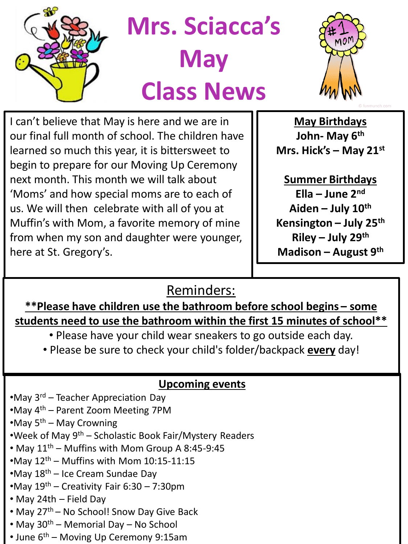

**Mrs. Sciacca's May Class News**



I can't believe that May is here and we are in our final full month of school. The children have learned so much this year, it is bittersweet to begin to prepare for our Moving Up Ceremony next month. This month we will talk about 'Moms' and how special moms are to each of us. We will then celebrate with all of you at Muffin's with Mom, a favorite memory of mine from when my son and daughter were younger, here at St. Gregory's.

**May Birthdays John- May 6th Mrs. Hick's – May 21st**

**Summer Birthdays Ella – June 2nd Aiden – July 10th Kensington – July 25th Riley – July 29th Madison – August 9th**

Reminders:

**\*\*Please have children use the bathroom before school begins – some students need to use the bathroom within the first 15 minutes of school\*\*** 

- Please have your child wear sneakers to go outside each day.
- Please be sure to check your child's folder/backpack **every** day!

## **Upcoming events**

- •May 3rd Teacher Appreciation Day
- •May 4th Parent Zoom Meeting 7PM
- •May  $5<sup>th</sup>$  May Crowning
- •Week of May  $9<sup>th</sup>$  Scholastic Book Fair/Mystery Readers
- May  $11^{th}$  Muffins with Mom Group A 8:45-9:45
- •May  $12<sup>th</sup>$  Muffins with Mom  $10:15-11:15$
- •May 18th Ice Cream Sundae Day
- •May  $19^{th}$  Creativity Fair 6:30 7:30pm
- May 24th Field Day
- May 27<sup>th</sup> No School! Snow Day Give Back
- May  $30^{th}$  Memorial Day No School
- June  $6<sup>th</sup>$  Moving Up Ceremony 9:15am